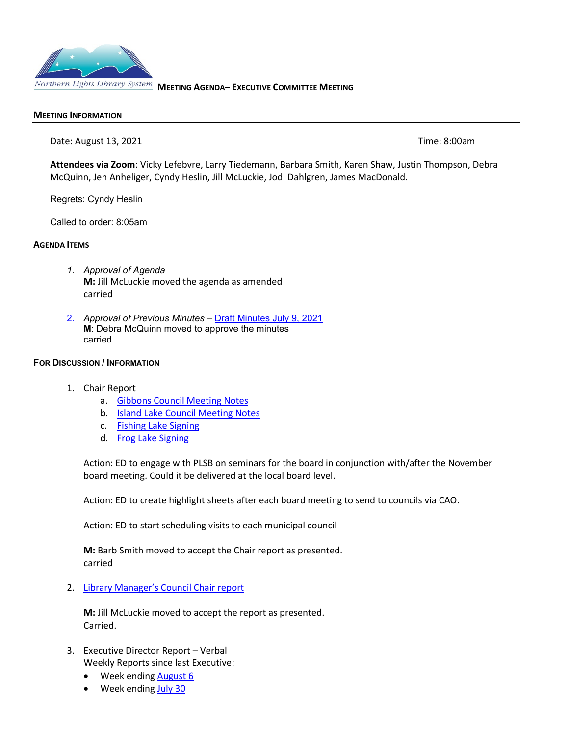

### **MEETING INFORMATION**

Date: August 13, 2021 **Time: 8:00am** 

**Attendees via Zoom**: Vicky Lefebvre, Larry Tiedemann, Barbara Smith, Karen Shaw, Justin Thompson, Debra McQuinn, Jen Anheliger, Cyndy Heslin, Jill McLuckie, Jodi Dahlgren, James MacDonald.

Regrets: Cyndy Heslin

Called to order: 8:05am

#### **AGENDA ITEMS**

- *1. Approval of Agenda*  **M:** Jill McLuckie moved the agenda as amended carried
- 2. *Approval of Previous Minutes –* [Draft Minutes July 9, 2021](https://www.nlls.ab.ca/public/download/files/188127) **M**: Debra McQuinn moved to approve the minutes carried

#### **FOR DISCUSSION / INFORMATION**

- 1. Chair Report
	- a. [Gibbons Council Meeting Notes](https://www.nlls.ab.ca/public/download/files/190701)
	- b. **[Island Lake Council Meeting Notes](https://www.nlls.ab.ca/public/download/files/190702)**
	- c. [Fishing Lake Signing](https://www.nlls.ab.ca/public/download/files/190835)
	- d. [Frog Lake Signing](https://www.nlls.ab.ca/public/download/files/190918)

Action: ED to engage with PLSB on seminars for the board in conjunction with/after the November board meeting. Could it be delivered at the local board level.

Action: ED to create highlight sheets after each board meeting to send to councils via CAO.

Action: ED to start scheduling visits to each municipal council

**M:** Barb Smith moved to accept the Chair report as presented. carried

2. [Library Manager's Council Chair report](https://www.nlls.ab.ca/public/download/files/190816)

**M:** Jill McLuckie moved to accept the report as presented. Carried.

- 3. Executive Director Report Verbal Weekly Reports since last Executive:
	- Week ending August 6
	- Week ending [July 30](https://www.nlls.ab.ca/public/download/files/190466)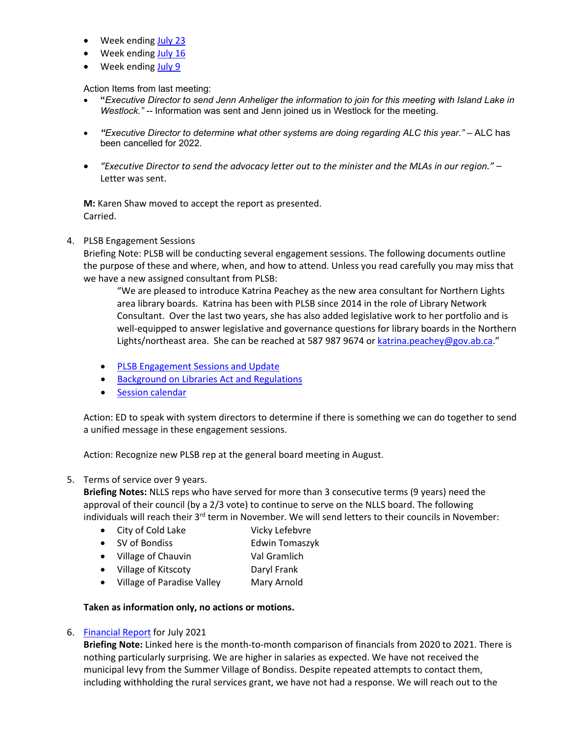- Week ending [July 23](https://www.nlls.ab.ca/public/download/files/190252)
- Week ending [July 16](https://www.nlls.ab.ca/public/download/files/188925)
- Week ending [July 9](https://www.nlls.ab.ca/public/download/files/188095)

Action Items from last meeting:

- **"***Executive Director to send Jenn Anheliger the information to join for this meeting with Island Lake in Westlock." --* Information was sent and Jenn joined us in Westlock for the meeting.
- *"Executive Director to determine what other systems are doing regarding ALC this year."*  ALC has been cancelled for 2022.
- *"Executive Director to send the advocacy letter out to the minister and the MLAs in our region."* Letter was sent.

**M:** Karen Shaw moved to accept the report as presented. Carried.

# 4. PLSB Engagement Sessions

Briefing Note: PLSB will be conducting several engagement sessions. The following documents outline the purpose of these and where, when, and how to attend. Unless you read carefully you may miss that we have a new assigned consultant from PLSB:

"We are pleased to introduce Katrina Peachey as the new area consultant for Northern Lights area library boards. Katrina has been with PLSB since 2014 in the role of Library Network Consultant. Over the last two years, she has also added legislative work to her portfolio and is well-equipped to answer legislative and governance questions for library boards in the Northern Lights/northeast area. She can be reached at 587 987 9674 o[r katrina.peachey@gov.ab.ca.](mailto:katrina.peachey@gov.ab.ca)"

- [PLSB Engagement Sessions and Update](https://www.nlls.ab.ca/public/download/files/191125)
- [Background on Libraries Act and Regulations](https://www.nlls.ab.ca/public/download/files/191126)
- [Session calendar](https://www.nlls.ab.ca/public/download/files/191127)

Action: ED to speak with system directors to determine if there is something we can do together to send a unified message in these engagement sessions.

Action: Recognize new PLSB rep at the general board meeting in August.

# 5. Terms of service over 9 years.

**Briefing Notes:** NLLS reps who have served for more than 3 consecutive terms (9 years) need the approval of their council (by a 2/3 vote) to continue to serve on the NLLS board. The following individuals will reach their 3<sup>rd</sup> term in November. We will send letters to their councils in November:

- City of Cold Lake Vicky Lefebvre
- SV of Bondiss Edwin Tomaszyk
- Village of Chauvin Val Gramlich
- Village of Kitscoty Daryl Frank
- Village of Paradise Valley Mary Arnold

# **Taken as information only, no actions or motions.**

# 6. [Financial Report](https://www.nlls.ab.ca/public/download/files/191124) for July 2021

**Briefing Note:** Linked here is the month-to-month comparison of financials from 2020 to 2021. There is nothing particularly surprising. We are higher in salaries as expected. We have not received the municipal levy from the Summer Village of Bondiss. Despite repeated attempts to contact them, including withholding the rural services grant, we have not had a response. We will reach out to the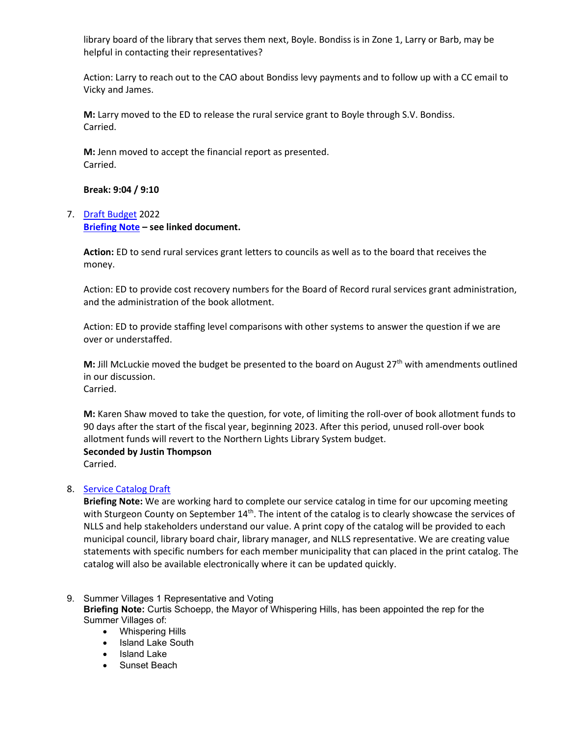library board of the library that serves them next, Boyle. Bondiss is in Zone 1, Larry or Barb, may be helpful in contacting their representatives?

Action: Larry to reach out to the CAO about Bondiss levy payments and to follow up with a CC email to Vicky and James.

**M:** Larry moved to the ED to release the rural service grant to Boyle through S.V. Bondiss. Carried.

**M:** Jenn moved to accept the financial report as presented. Carried.

**Break: 9:04 / 9:10**

# 7. [Draft Budget](https://www.nlls.ab.ca/public/download/files/191040) 2022 **[Briefing Note](https://www.nlls.ab.ca/public/download/files/191039) – see linked document.**

**Action:** ED to send rural services grant letters to councils as well as to the board that receives the money.

Action: ED to provide cost recovery numbers for the Board of Record rural services grant administration, and the administration of the book allotment.

Action: ED to provide staffing level comparisons with other systems to answer the question if we are over or understaffed.

**M:** Jill McLuckie moved the budget be presented to the board on August  $27<sup>th</sup>$  with amendments outlined in our discussion. Carried.

**M:** Karen Shaw moved to take the question, for vote, of limiting the roll-over of book allotment funds to 90 days after the start of the fiscal year, beginning 2023. After this period, unused roll-over book allotment funds will revert to the Northern Lights Library System budget.

# **Seconded by Justin Thompson**

Carried.

# 8. [Service Catalog Draft](https://www.nlls.ab.ca/public/download/files/190837)

**Briefing Note:** We are working hard to complete our service catalog in time for our upcoming meeting with Sturgeon County on September 14<sup>th</sup>. The intent of the catalog is to clearly showcase the services of NLLS and help stakeholders understand our value. A print copy of the catalog will be provided to each municipal council, library board chair, library manager, and NLLS representative. We are creating value statements with specific numbers for each member municipality that can placed in the print catalog. The catalog will also be available electronically where it can be updated quickly.

9. Summer Villages 1 Representative and Voting

**Briefing Note:** Curtis Schoepp, the Mayor of Whispering Hills, has been appointed the rep for the Summer Villages of:

- Whispering Hills
- Island Lake South
- Island Lake
- Sunset Beach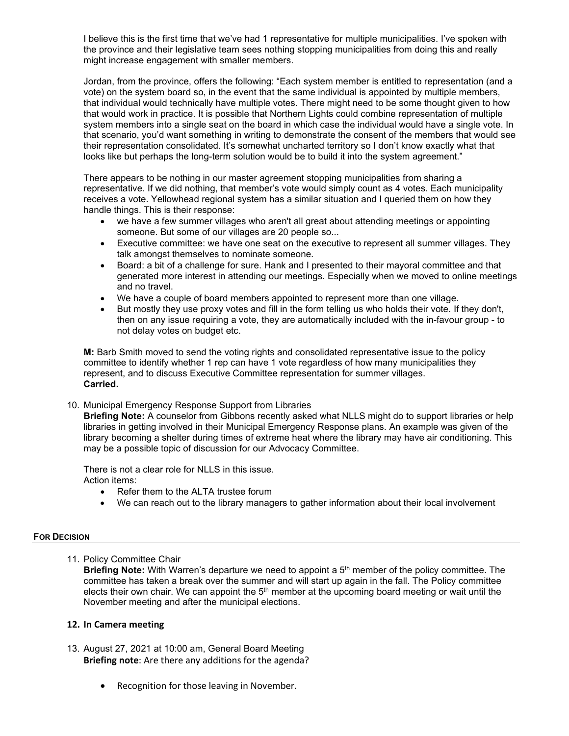I believe this is the first time that we've had 1 representative for multiple municipalities. I've spoken with the province and their legislative team sees nothing stopping municipalities from doing this and really might increase engagement with smaller members.

Jordan, from the province, offers the following: "Each system member is entitled to representation (and a vote) on the system board so, in the event that the same individual is appointed by multiple members, that individual would technically have multiple votes. There might need to be some thought given to how that would work in practice. It is possible that Northern Lights could combine representation of multiple system members into a single seat on the board in which case the individual would have a single vote. In that scenario, you'd want something in writing to demonstrate the consent of the members that would see their representation consolidated. It's somewhat uncharted territory so I don't know exactly what that looks like but perhaps the long-term solution would be to build it into the system agreement."

There appears to be nothing in our master agreement stopping municipalities from sharing a representative. If we did nothing, that member's vote would simply count as 4 votes. Each municipality receives a vote. Yellowhead regional system has a similar situation and I queried them on how they handle things. This is their response:

- we have a few summer villages who aren't all great about attending meetings or appointing someone. But some of our villages are 20 people so...
- Executive committee: we have one seat on the executive to represent all summer villages. They talk amongst themselves to nominate someone.
- Board: a bit of a challenge for sure. Hank and I presented to their mayoral committee and that generated more interest in attending our meetings. Especially when we moved to online meetings and no travel.
- We have a couple of board members appointed to represent more than one village.
- But mostly they use proxy votes and fill in the form telling us who holds their vote. If they don't, then on any issue requiring a vote, they are automatically included with the in-favour group - to not delay votes on budget etc.

**M:** Barb Smith moved to send the voting rights and consolidated representative issue to the policy committee to identify whether 1 rep can have 1 vote regardless of how many municipalities they represent, and to discuss Executive Committee representation for summer villages. **Carried.**

10. Municipal Emergency Response Support from Libraries

**Briefing Note:** A counselor from Gibbons recently asked what NLLS might do to support libraries or help libraries in getting involved in their Municipal Emergency Response plans. An example was given of the library becoming a shelter during times of extreme heat where the library may have air conditioning. This may be a possible topic of discussion for our Advocacy Committee.

There is not a clear role for NLLS in this issue. Action items:

- Refer them to the ALTA trustee forum
- We can reach out to the library managers to gather information about their local involvement

# **FOR DECISION**

11. Policy Committee Chair

**Briefing Note:** With Warren's departure we need to appoint a 5th member of the policy committee. The committee has taken a break over the summer and will start up again in the fall. The Policy committee elects their own chair. We can appoint the  $5<sup>th</sup>$  member at the upcoming board meeting or wait until the November meeting and after the municipal elections.

### **12. In Camera meeting**

- 13. August 27, 2021 at 10:00 am, General Board Meeting **Briefing note**: Are there any additions for the agenda?
	- Recognition for those leaving in November.